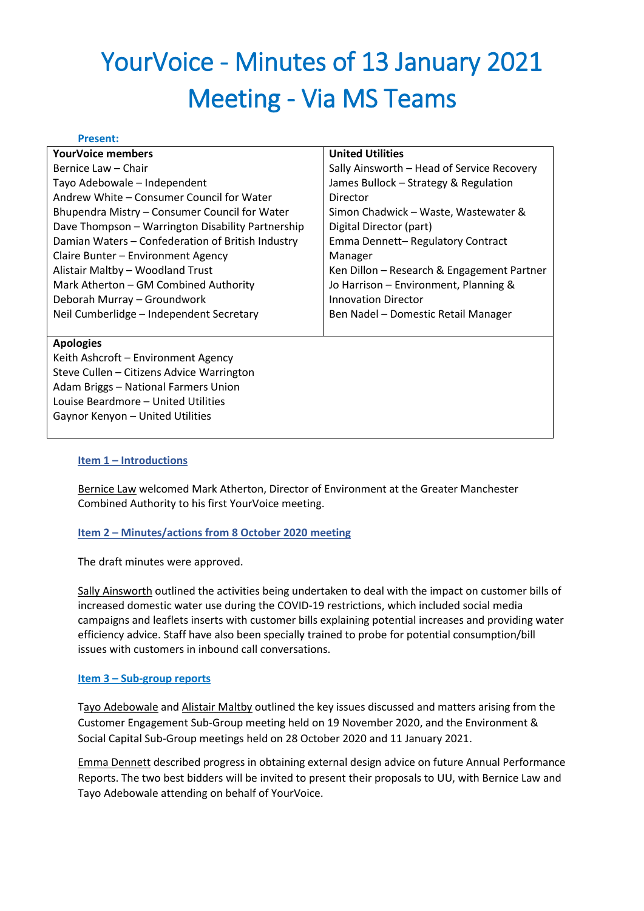# YourVoice - Minutes of 13 January 2021 Meeting - Via MS Teams

#### **Present:**

| <b>YourVoice members</b>                          | <b>United Utilities</b>                    |
|---------------------------------------------------|--------------------------------------------|
| Bernice Law – Chair                               | Sally Ainsworth - Head of Service Recovery |
| Tayo Adebowale - Independent                      | James Bullock - Strategy & Regulation      |
| Andrew White – Consumer Council for Water         | Director                                   |
| Bhupendra Mistry - Consumer Council for Water     | Simon Chadwick – Waste, Wastewater &       |
| Dave Thompson - Warrington Disability Partnership | Digital Director (part)                    |
| Damian Waters - Confederation of British Industry | Emma Dennett-Regulatory Contract           |
| Claire Bunter - Environment Agency                | Manager                                    |
| Alistair Maltby - Woodland Trust                  | Ken Dillon - Research & Engagement Partner |
| Mark Atherton - GM Combined Authority             | Jo Harrison - Environment, Planning &      |
| Deborah Murray - Groundwork                       | <b>Innovation Director</b>                 |
| Neil Cumberlidge - Independent Secretary          | Ben Nadel - Domestic Retail Manager        |
|                                                   |                                            |
| <b>Apologies</b>                                  |                                            |
| Keith Ashcroft - Environment Agency               |                                            |
| Steve Cullen - Citizens Advice Warrington         |                                            |
| Adam Briggs - National Farmers Union              |                                            |
|                                                   |                                            |

Louise Beardmore – United Utilities

Gaynor Kenyon – United Utilities

#### **Item 1 – Introductions**

Bernice Law welcomed Mark Atherton, Director of Environment at the Greater Manchester Combined Authority to his first YourVoice meeting.

#### **Item 2 – Minutes/actions from 8 October 2020 meeting**

The draft minutes were approved.

Sally Ainsworth outlined the activities being undertaken to deal with the impact on customer bills of increased domestic water use during the COVID-19 restrictions, which included social media campaigns and leaflets inserts with customer bills explaining potential increases and providing water efficiency advice. Staff have also been specially trained to probe for potential consumption/bill issues with customers in inbound call conversations.

#### **Item 3 – Sub-group reports**

Tayo Adebowale and Alistair Maltby outlined the key issues discussed and matters arising from the Customer Engagement Sub-Group meeting held on 19 November 2020, and the Environment & Social Capital Sub-Group meetings held on 28 October 2020 and 11 January 2021.

Emma Dennett described progress in obtaining external design advice on future Annual Performance Reports. The two best bidders will be invited to present their proposals to UU, with Bernice Law and Tayo Adebowale attending on behalf of YourVoice.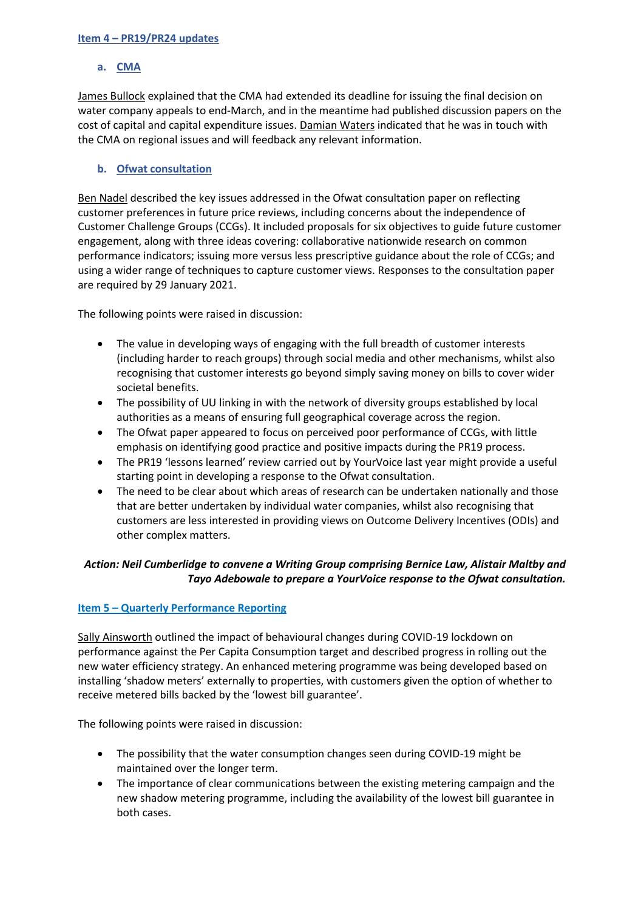#### **Item 4 – PR19/PR24 updates**

## **a. CMA**

James Bullock explained that the CMA had extended its deadline for issuing the final decision on water company appeals to end-March, and in the meantime had published discussion papers on the cost of capital and capital expenditure issues. Damian Waters indicated that he was in touch with the CMA on regional issues and will feedback any relevant information.

## **b. Ofwat consultation**

Ben Nadel described the key issues addressed in the Ofwat consultation paper on reflecting customer preferences in future price reviews, including concerns about the independence of Customer Challenge Groups (CCGs). It included proposals for six objectives to guide future customer engagement, along with three ideas covering: collaborative nationwide research on common performance indicators; issuing more versus less prescriptive guidance about the role of CCGs; and using a wider range of techniques to capture customer views. Responses to the consultation paper are required by 29 January 2021.

The following points were raised in discussion:

- The value in developing ways of engaging with the full breadth of customer interests (including harder to reach groups) through social media and other mechanisms, whilst also recognising that customer interests go beyond simply saving money on bills to cover wider societal benefits.
- The possibility of UU linking in with the network of diversity groups established by local authorities as a means of ensuring full geographical coverage across the region.
- The Ofwat paper appeared to focus on perceived poor performance of CCGs, with little emphasis on identifying good practice and positive impacts during the PR19 process.
- The PR19 'lessons learned' review carried out by YourVoice last year might provide a useful starting point in developing a response to the Ofwat consultation.
- The need to be clear about which areas of research can be undertaken nationally and those that are better undertaken by individual water companies, whilst also recognising that customers are less interested in providing views on Outcome Delivery Incentives (ODIs) and other complex matters.

## *Action: Neil Cumberlidge to convene a Writing Group comprising Bernice Law, Alistair Maltby and Tayo Adebowale to prepare a YourVoice response to the Ofwat consultation.*

## **Item 5 – Quarterly Performance Reporting**

Sally Ainsworth outlined the impact of behavioural changes during COVID-19 lockdown on performance against the Per Capita Consumption target and described progress in rolling out the new water efficiency strategy. An enhanced metering programme was being developed based on installing 'shadow meters' externally to properties, with customers given the option of whether to receive metered bills backed by the 'lowest bill guarantee'.

The following points were raised in discussion:

- The possibility that the water consumption changes seen during COVID-19 might be maintained over the longer term.
- The importance of clear communications between the existing metering campaign and the new shadow metering programme, including the availability of the lowest bill guarantee in both cases.